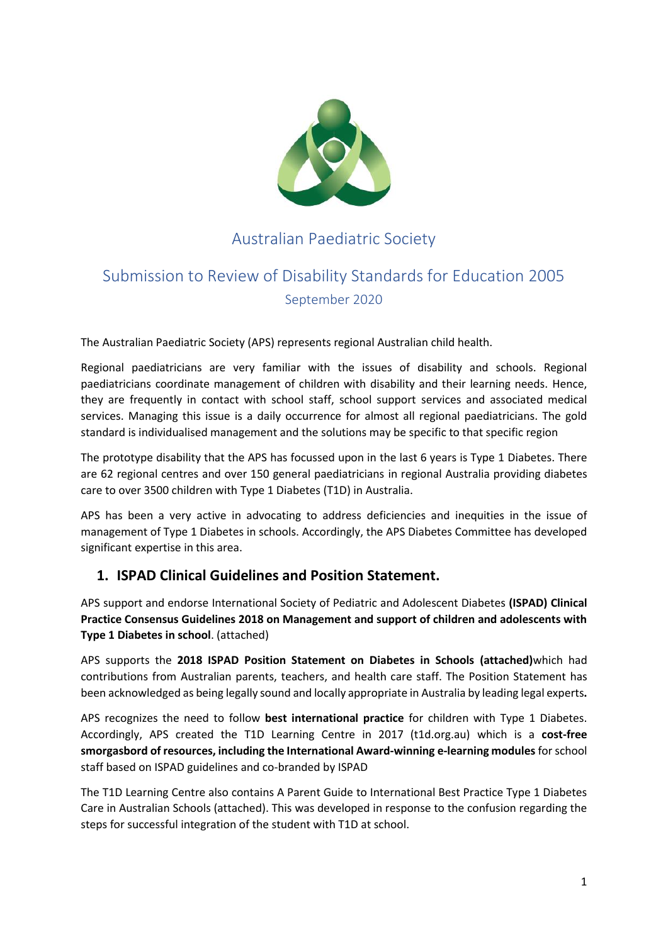

## Australian Paediatric Society

# Submission to Review of Disability Standards for Education 2005 September 2020

The Australian Paediatric Society (APS) represents regional Australian child health.

Regional paediatricians are very familiar with the issues of disability and schools. Regional paediatricians coordinate management of children with disability and their learning needs. Hence, they are frequently in contact with school staff, school support services and associated medical services. Managing this issue is a daily occurrence for almost all regional paediatricians. The gold standard is individualised management and the solutions may be specific to that specific region

The prototype disability that the APS has focussed upon in the last 6 years is Type 1 Diabetes. There are 62 regional centres and over 150 general paediatricians in regional Australia providing diabetes care to over 3500 children with Type 1 Diabetes (T1D) in Australia.

APS has been a very active in advocating to address deficiencies and inequities in the issue of management of Type 1 Diabetes in schools. Accordingly, the APS Diabetes Committee has developed significant expertise in this area.

## **1. ISPAD Clinical Guidelines and Position Statement.**

APS support and endorse International Society of Pediatric and Adolescent Diabetes **(ISPAD) Clinical Practice Consensus Guidelines 2018 on Management and support of children and adolescents with Type 1 Diabetes in school**. (attached)

APS supports the **2018 ISPAD Position Statement on Diabetes in Schools (attached)**which had contributions from Australian parents, teachers, and health care staff. The Position Statement has been acknowledged as being legally sound and locally appropriate in Australia by leading legal experts**.**

APS recognizes the need to follow **best international practice** for children with Type 1 Diabetes. Accordingly, APS created the T1D Learning Centre in 2017 (t1d.org.au) which is a **cost-free smorgasbord of resources, including the International Award-winning e-learning modules** for school staff based on ISPAD guidelines and co-branded by ISPAD

The T1D Learning Centre also contains A Parent Guide to International Best Practice Type 1 Diabetes Care in Australian Schools (attached). This was developed in response to the confusion regarding the steps for successful integration of the student with T1D at school.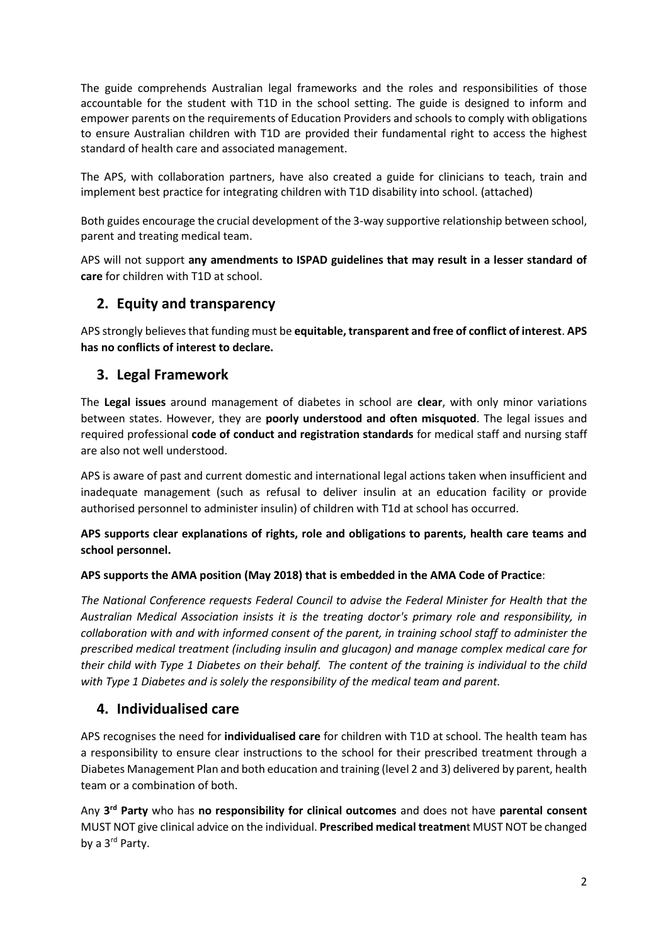The guide comprehends Australian legal frameworks and the roles and responsibilities of those accountable for the student with T1D in the school setting. The guide is designed to inform and empower parents on the requirements of Education Providers and schools to comply with obligations to ensure Australian children with T1D are provided their fundamental right to access the highest standard of health care and associated management.

The APS, with collaboration partners, have also created a guide for clinicians to teach, train and implement best practice for integrating children with T1D disability into school. (attached)

Both guides encourage the crucial development of the 3-way supportive relationship between school, parent and treating medical team.

APS will not support **any amendments to ISPAD guidelines that may result in a lesser standard of care** for children with T1D at school.

## **2. Equity and transparency**

APS strongly believes that funding must be **equitable, transparent and free of conflict of interest**. **APS has no conflicts of interest to declare.**

## **3. Legal Framework**

The **Legal issues** around management of diabetes in school are **clear**, with only minor variations between states. However, they are **poorly understood and often misquoted**. The legal issues and required professional **code of conduct and registration standards** for medical staff and nursing staff are also not well understood.

APS is aware of past and current domestic and international legal actions taken when insufficient and inadequate management (such as refusal to deliver insulin at an education facility or provide authorised personnel to administer insulin) of children with T1d at school has occurred.

#### **APS supports clear explanations of rights, role and obligations to parents, health care teams and school personnel.**

#### **APS supports the AMA position (May 2018) that is embedded in the AMA Code of Practice**:

*The National Conference requests Federal Council to advise the Federal Minister for Health that the Australian Medical Association insists it is the treating doctor's primary role and responsibility, in collaboration with and with informed consent of the parent, in training school staff to administer the prescribed medical treatment (including insulin and glucagon) and manage complex medical care for their child with Type 1 Diabetes on their behalf. The content of the training is individual to the child with Type 1 Diabetes and is solely the responsibility of the medical team and parent.*

## **4. Individualised care**

APS recognises the need for **individualised care** for children with T1D at school. The health team has a responsibility to ensure clear instructions to the school for their prescribed treatment through a Diabetes Management Plan and both education and training (level 2 and 3) delivered by parent, health team or a combination of both.

Any **3 rd Party** who has **no responsibility for clinical outcomes** and does not have **parental consent** MUST NOT give clinical advice on the individual. **Prescribed medical treatmen**t MUST NOT be changed by a 3<sup>rd</sup> Party.